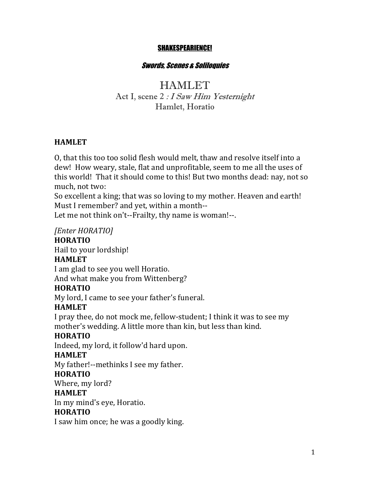#### SHAKESPEARIENCE!

#### Swords, Scenes & Soliloquies

# **HAMLET** Act I, scene 2 : I Saw Him Yesternight Hamlet, Horatio

### **HAMLET**

O, that this too too solid flesh would melt, thaw and resolve itself into a dew! How weary, stale, flat and unprofitable, seem to me all the uses of this world! That it should come to this! But two months dead: nay, not so much, not two:

So excellent a king; that was so loving to my mother. Heaven and earth! Must I remember? and yet, within a month--

Let me not think on't--Frailty, thy name is woman!--.

### *[Enter HORATIO]*

#### **HORATIO**

Hail to your lordship!

### **HAMLET**

I am glad to see you well Horatio. And what make you from Wittenberg?

### **HORATIO**

My lord, I came to see your father's funeral.

### **HAMLET**

I pray thee, do not mock me, fellow-student; I think it was to see my mother's wedding. A little more than kin, but less than kind.

### **HORATIO**

Indeed, my lord, it follow'd hard upon.

### **HAMLET**

My father!--methinks I see my father.

### **HORATIO**

Where, my lord?

### **HAMLET**

In my mind's eye, Horatio.

### **HORATIO**

I saw him once; he was a goodly king.